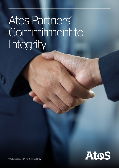# Atos Partners' Commitment to Integrity



Trusted partner for your Digital Journey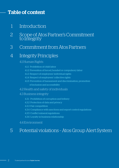## Table of content

- 1 Introduction
- 2 Scope of Atos Partner's Commitment to Integrity
- 3 Commitment from Atos Partners

### 4 Integrity Principles

### 4.1 Human Rights

- 4.1.1 Prohibition of child labor
- 4.1.2 Prevention of forced, bonded or compulsory labor
- 4.1.3 Respect of employees' individual rights
- 4.1.4 Respect of employees' collective rights
- 4.1.5 Prevention of harassment and discrimination, promotion of inclusion and accessibility
- 4.2 Health and safety of individuals

### 4.3 Business integrity

- 4.3.1 Prohibition of corruption and bribery
- 4.3.2 Protection of data and privacy
- 4.3.3 Fair competition
- 4.3.4 Compliance with sanctions and export control regulations
- 4.3.5 Conflict mineral regulations
- 4.3.6 Loyalty in business relationship

### 4.4 Environment

# 5 Potential violations – Atos Group Alert System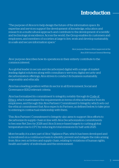# **Introduction**

"The purpose of Atos is to help design the future of the information space. Its expertise and services support the development of knowledge, education and research in a multicultural approach and contribute to the development of scientific and technological excellence. Across the world, the Group enables its customers and employees, and members of societies at large to live, work and develop sustainably, in a safe and secure information space."

> Atos' purpose (Raison d'être) approved at the Atos 2019 Annual General Meeting

Atos' purpose describes how its operations in their entirety contribute to the common interest.

As a global leader in secure and decarbonized digital with a range of marketleading digital solutions along with consultancy services, digital security and decarbonization offerings, Atos strives to conduct its business sustainably, responsibly and ethically.

Atos has a leading position within its sector in all Environment, Social and Governance (ESG) relevant criteria.

Atos has formalized its commitment to integrity, notably through its [Code of](https://atos365-my.sharepoint.com/personal/willem_loorbach_atos_net/Documents/Documents/Insert link to : https:/atos.net/wp-content/uploads/2021/04/atos-code-of-ethics-mar-2021.pdf)  [Ethics](https://atos365-my.sharepoint.com/personal/willem_loorbach_atos_net/Documents/Documents/Insert link to : https:/atos.net/wp-content/uploads/2021/04/atos-code-of-ethics-mar-2021.pdf), which materializes the requirements in terms of ethical behavior from its employees, and through this Atos Partners' Commitment to Integrity, which sets out the ethical commitment that Atos expects its Partners, as defined below, to take prior to entering in contractual relationship with them.

This Atos Partners' Commitment to Integrity also aims to support Atos efforts to decarbonize its supply chain in line with Atos Decarbonization commitments to become Net Zero by 2028 and Atos Science-based targets to curbing global temperature rise to 1.5°C by reducing its total emissions by half until 2025.

More broadly, it is a key part of Atos' Vigilance Plan, which has been developed and is monitored on a continuous basis to identify, prevent and mitigate the risks arising from Atos own activities and supply chain, relating to violations of human rights, health and safety of individuals and the environment.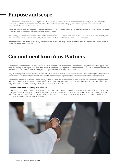# Purpose and scope

As Atos Partners play a key role in allowing Atos to deliver services in line with its ethical and sustainable standards, they are expected to commit along with the principles set forth in this Atos Partners' Commitment to Integrity, and acknowledge that such commitment is an essential part of the contractual relationship.

Atos' suppliers further acknowledge that such commitment will be considered for the purpose of the assessment conducted by Atos to monitor Corporate Social Responsibility (CSR) risk related to its supply chain.

More broadly, as Atos has committed to follow the ten principles of the UN Global Compact since 2010, it expects its Partners to abide by the same principles with respect to human rights, labor standards, protection of the environment and anticorruption.

In this document, "Atos Partner" refers to any Atos commercial partner, including but not limited to: suppliers, subcontractors, clients, resellers, distributors and business partners ...

# Commitment from Atos' Partners

Atos' Partners hereby commit to comply with the principles set forth in this Atos Partners' Commitment to Integrity to the extent applicable to them (the "Principles") throughout the term of the contract, such term including any renewal or extension. They will take the necessary internal measures to ensure that their officers, employees and representatives will comply with the same.

They acknowledge that they are expected to follow the ten principles of the UN Global Compact with respect to human rights, labor standards, protection of the environment and anticorruption, and to inform and encourage their direct business partners to follow these principles.

Atos' Partners, other than customers who are already bound by similar provisions under their main contract with Atos, acknowledge that the above commitment is an essential part of the contract, so that non-compliance with any of these will constitute a breach of their contractual obligations, such as to entail, according to its severity, the termination of the contract

#### Additional requirement concerning Atos' suppliers

As key stakeholders in Atos' ecosystem, Atos' suppliers further acknowledge that they may be requested to be assessed by Atos preferred expert third party EcoVadis at least every second year, which will allow Atos to measure their CSR risk in the areas of Environment, Labor and Human rights, Ethics and Sustainable Procurement, and will be asked to implement corrective action plans and to be re-assessed within twelve months if the score is below Atos expected standard (40/100).

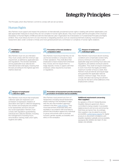# Integrity Principles

The Principles, which Atos Partners' commit to comply with are set out below.

### Human Rights

Atos Partners must support and respect the protection of internationally proclaimed human rights in dealing with all their stakeholders; and take appropriate measures to ensure they are not complicit in human rights abuses. They must comply with the principles of the Universal Declaration of Human Rights of 1948 and with the International Labor Organization (ILO) Declaration on Fundamental Principles and Rights at Work. They must refuse any form of cruel, inhuman or degrading practices, such as corporal punishment, bullying, moral and sexual harassment, labor under constrain or threat, and more general prevent any commission or complicity in human rights violations.



Atos Partners must not use child labor. They must comply with the minimum age requirement, as defined by applicable laws and regulations. The strictest standards among applicable local, national and international laws shall apply, meaning that the laws providing for the highest age limit shall be observed.

#### Prevention of forced, bonded or compulsory labor

Atos Partners must ensure that they do not use forced, bonded or compulsory labor in their operations. They shall allow their employees to leave employment whenever they choose, and not require them to lodge deposits, money or papers with their employer, unless required by local laws or regulations.



Atos Partners must ensure decent working conditions and compensate workers fairly, and at a minimum in accordance with applicable wage and working hours laws and regulations, and address eventual systemic inequalities. They shall not require employees to work more than the legally permitted maximum number of hours a week. Atos Partners must provide fair and equal wage and guarantee the applicable national statutory minimum wage. They should comply with labor law during recruitment and also for the term of the fulfillment of the employment contract.

#### Respect of employees' collective rights

Atos Partners must ensure that employees' collective rights are respected, such as freedom of expression, freedom of association and right to collective bargaining. Any workers and employees are entitled to be represented, and form and join any social organization. Partners must comply with regulations guaranteeing individual and collective liberties, including the management of working hours, remuneration, training, trade union rights, hygiene and safety.

#### Prevention of harassment and discrimination, promotion of inclusion and accessibility

Atos Partners must prevent any form of harassment, including sexual harassment, and/or bullying in the workplace to align with the zero discrimination approach outlined in the Atos [Code of Ethics](C:\Users\A581816\AppData\Local\Microsoft\Windows\INetCache\Content.Outlook\Z7A1FN4X\Insert link to : https:\atos.net\wp-content\uploads\2021\04\atos-code-of-ethics-mar-2021.pdf). They must treat all their employees fairly and equitably in accordance with local laws to prevent discrimination against any individual or group, and actively seek to promote inclusion, gender equality, accessibility and ethics in the workplace.

#### Additional requirement concerning Atos' suppliers

As signatory of the ILO Global Business Disability Network agreement, Atos is committed to being a leader in accessible digital products and services and ensuring that these are barrier free. Accordingly, Atos suppliers may be asked to provide accessibility [conformance reports](https://eur01.safelinks.protection.outlook.com/?url=https%3A%2F%2Fwww.itic.org%2Fresources%2Fvpat%2FReportingConformancetoICTAccessibilityStandards-July2019.pdf&data=04%7C01%7Ccamille.porges%40atos.net%7C153d45a2065d4d6e551208d92a9d0939%7C33440fc6b7c7412cbb730e70b0198d5a%7C0%7C0%7C637587676209081938%7CUnknown%7CTWFpbGZsb3d8eyJWIjoiMC4wLjAwMDAiLCJQIjoiV2luMzIiLCJBTiI6Ik1haWwiLCJXVCI6Mn0%3D%7C1000&sdata=5xVpTqLV64mvZxMcRVLWGo1HPKC8grSrrLstSuQZEgE%3D&reserved=0) for digital products to document compliance with disability legislation globally and accessibility standards (ISO 40500, ISO 9421- 171, ISO 13066-1, EN 301549).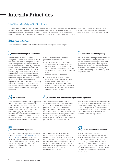# Integrity Principles

### Health and safety of individuals

Atos Partners must ensure staff operate in safe and healthy working conditions and environment, abiding by local laws and regulations, and respecting the health and well-being of its workforce. Partners should maintain the ability to monitor and apply changing health and safety legislation as well as complying with mandatory health and safety training. Atos Partners should have the necessary systems and structure in place to identify and mitigate health and safety risks as well as report and investigate incidents.

### Business integrity

Atos Partners must comply with the highest standards relating to business integrity.

#### Prohibition of corruption and bribery

Atos has a zero-tolerance approach to corruption. Therefore Atos Partners shall not take part in any form of corruption, bribery or influence peddling scheme, where they would, either directly or indirectly, (i) offer an undue benefit to a person in order for that person to improperly carry out or abstain from carrying out an act pertaining to his/ her functions, or misuse his/her influence to obtain a decision from a public authority to the advantage of the offeror, or (ii) accept an undue benefit in order for them to improperly carry out or abstain from carrying out an act pertaining to their functions or misuse their influence to obtain a decision from a public authority to the advantage of the offeror.

| S Fair competition |
|--------------------|

Atos Partners must comply with all applicable antitrust and competition laws wherever they do business. They undertake not to participate in any anti-competitive practices, not to collude with their competitors on prices, bid rigging, market allocation, or exchange any sensitive information. Partners in a dominant position shall not abuse it to eliminate competition, or to impose excessive or discriminatory commercial conditions.

It should be clearly stated that such prohibition equally applies:

- to both the active person (who offers the undue advantage) and the passive one (who accepts it), as they are both sanctionable, and irrespective of whether the passive person has solicited the benefit or not,
- in the private and public sector,
- to large, as well as small inducements (e.g. facilitation payments are prohibited), offered before or after the action or abstention of the passive person has occurred (i.e. as an incentive or a reward), directly or indirectly (e.g. to their relatives, spouses or family members).

### Protection of data and privacy

Atos Partners must comply with all applicable data protection laws and regulations, as well as with recommendations, guidelines and guidance issued by competent regulatory bodies, and take the appropriate measures to protect personal data and privacy of individuals, including when processing Atos employees' data.

### Compliance with sanctions and export control regulations

Atos Partners should comply with all applicable economic sanction and export control laws and regulations. They shall provide true, accurate and regularly updated information in relation to any export restrictions (U.S. contents, dual-use or military classification) affecting the products, software or technology provided to Atos. Where required, they shall obtain appropriate governmental authorizations to do so.

Atos Partners understand that for all matters pertaining to their relationship with Atos, they should not enter into any transactions with any country, person or entity with whom commercial transactions are forbidden under the United States or the European Union economic sanctions regulations.

### Conflict mineral regulations

In accordance with EU regulations on conflict minerals [\(2017/821\)](https://ec.europa.eu/trade/policy/in-focus/conflict-minerals-regulation/regulation-explained/index_en.htm) and [Section 1502 of the](https://www.globalwitness.org/en/campaigns/conflict-minerals/dodd-frank-act-section-1502/#:~:text=The%20%E2%80%9Cconflict%20minerals%E2%80%9D%20provision%E2%80%94,to%20report%20on%20their%20efforts)  [US Dodd Frank Act](https://www.globalwitness.org/en/campaigns/conflict-minerals/dodd-frank-act-section-1502/#:~:text=The%20%E2%80%9Cconflict%20minerals%E2%80%9D%20provision%E2%80%94,to%20report%20on%20their%20efforts) (further details being available [here](https://www.globalwitness.org/en/campaigns/conflict-minerals/dodd-frank-act-section-1502/#:~:text=The%20%E2%80%9Cconflict%20minerals%E2%80%9D%20provision%E2%80%94,to%20report%20on%20their%20efforts)), Atos Partners must not use minerals (tantalum, tin, gold, and tungsten) from conflict regions (e.g. Democratic Republic of Congo, Rwanda, Tanzania, Uganda, Zambia).

In order to do so, they must take the necessary steps to determine if their products contain conflict minerals, and if so, develop compliance due diligence processes in compliance with such regulations, and be in a position to provide evidence, such as Conflict Minerals Reporting Template (CMRT), to ensure that all products are responsibly manufactured.



Atos Partners must ensure to act professionally and appropriately towards Atos, its employees, its partners and clients, as well as their employees. Partners shall not disparage, nor write or say anything malicious, discriminatory or defamatory against Atos, its employees, partners, clients, and their employees. Atos does not tolerate disrespectful or unprofessional usage of social media.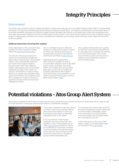# Integrity Principles

### Environment

According to Atos emissions reduction targets grounded in climate science through the Science Based Targets initiative (SBTi) on limiting global warming to 1.5°C above pre-industrial levels and the Net Zero ambitions by 2028, Atos is committed to minimizing the environmental impact of its activities worldwide, and expects its Partners to apply the same standards. Atos Partners must identify and comply with all regulations and other legal requirements relating to the environmental impacts of their activities. They should prevent pollution and climate change through the adoption of appropriate procedures and controls, and address the challenges such as energy, carbon emissions, waste, freight and travel both locally and globally.

#### Additional requirement concerning Atos' suppliers

As key stakeholders in Atos' ecosystem, Atos suppliers are further expected to always respect the [Atos Environmental Policy.](https://atos.net/wp-content/uploads/2020/09/atos-environmentalpolicy.pdf)

They should continuously develop and improve an environmental management system which minimizes their environmental impacts. They should identify, implement and monitor the necessary initiatives and action plans within their entities to steadily make progress with environmental challenges and reduce their impacts. For instance, commitments to improve energy efficiency, eco-design and renewable energy supply of the Partners can be asked by Atos. Also, management of carbon emissions is expected to be part of their environmental management system.

Atos is committed to become a Net Zero company by 2028 and this means to ensure its Partners are reporting, disclosing and managing their emissions in line with the Greenhouse Gas Protocol [\(GHG Protocol\).](https://ghgprotocol.org/)

Regarding the above requirements, Atos could ask its suppliers to have an environmental certification such as ISO 14001 and an energy certification such as ISO 50001, and to display their environmental policy. Atos can also ask to complete the EcoVadis assessment at Atos supplier's costs and consider joining initiatives, such as Carbon Disclosure Project [\(CDP\)](https://www.cdp.net/en/) or Science Based Target initiative [\(SBTi\)](https://sciencebasedtargets.org/companies-taking-action).

Atos suppliers shall lead their own suppliers to meet strict environmental standards and to continually work to evaluate and minimize its environmental impacts. They should ensure that the products and services they propose to Atos contribute to reduce its environmental impacts.

# Potential violations – Atos Group Alert System

Atos Partners undertake to inform Atos in a timely manner if at any given time they consider that there is a risk that they will no longer be able to comply with their commitment under this Atos Partners' Commitment to Integrity.



They further undertake to notify Atos without any delay in case of any potential violation, which would have already occurred, and to provide any information as reasonably requested by Atos on this matter.

In all circumstances, if Atos Partners' employees have any concern that a law, regulation, or any of the principles set out in the [Code of Ethics](https://atos365-my.sharepoint.com/personal/willem_loorbach_atos_net/Documents/Documents/Insert link to : https:/atos.net/wp-content/uploads/2021/04/atos-code-of-ethics-mar-2021.pdf) has been or is about to be breached, or in the event of a threat or serious prejudice to the general interest of Atos, they can report through the Atos Group Alert System which is available at groupcomplianceofficer@atos.net.

The individuals who raise the alert as well as the persons targeted by the alert shall benefit from the strictest confidentiality, subject to the intervention of a judicial authority. Anonymous reports are considered where this is permitted by local law.

Further information on Atos Group Alert System, notably on the data subject rights, can be found in the [Code of Ethics.](https://atos365-my.sharepoint.com/personal/willem_loorbach_atos_net/Documents/Documents/Insert link to : https:/atos.net/wp-content/uploads/2021/04/atos-code-of-ethics-mar-2021.pdf)